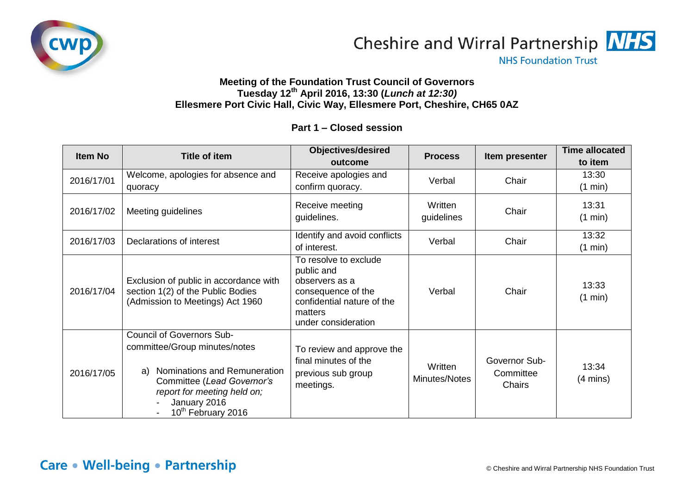



**NHS Foundation Trust** 

## **Meeting of the Foundation Trust Council of Governors Tuesday 12th April 2016, 13:30 (***Lunch at 12:30)* **Ellesmere Port Civic Hall, Civic Way, Ellesmere Port, Cheshire, CH65 0AZ**

## **Part 1 – Closed session**

| Item No    | <b>Title of item</b>                                                                                                                                                                                                   | <b>Objectives/desired</b><br>outcome                                                                                                        | <b>Process</b>           | Item presenter                       | <b>Time allocated</b><br>to item |
|------------|------------------------------------------------------------------------------------------------------------------------------------------------------------------------------------------------------------------------|---------------------------------------------------------------------------------------------------------------------------------------------|--------------------------|--------------------------------------|----------------------------------|
| 2016/17/01 | Welcome, apologies for absence and<br>quoracy                                                                                                                                                                          | Receive apologies and<br>confirm quoracy.                                                                                                   | Verbal                   | Chair                                | 13:30<br>(1 min)                 |
| 2016/17/02 | Meeting guidelines                                                                                                                                                                                                     | Receive meeting<br>guidelines.                                                                                                              | Written<br>guidelines    | Chair                                | 13:31<br>(1 min)                 |
| 2016/17/03 | Declarations of interest                                                                                                                                                                                               | Identify and avoid conflicts<br>of interest.                                                                                                | Verbal                   | Chair                                | 13:32<br>(1 min)                 |
| 2016/17/04 | Exclusion of public in accordance with<br>section 1(2) of the Public Bodies<br>(Admission to Meetings) Act 1960                                                                                                        | To resolve to exclude<br>public and<br>observers as a<br>consequence of the<br>confidential nature of the<br>matters<br>under consideration | Verbal                   | Chair                                | 13:33<br>(1 min)                 |
| 2016/17/05 | <b>Council of Governors Sub-</b><br>committee/Group minutes/notes<br>Nominations and Remuneration<br>a)<br>Committee (Lead Governor's<br>report for meeting held on;<br>January 2016<br>10 <sup>th</sup> February 2016 | To review and approve the<br>final minutes of the<br>previous sub group<br>meetings.                                                        | Written<br>Minutes/Notes | Governor Sub-<br>Committee<br>Chairs | 13:34<br>$(4 \text{ mins})$      |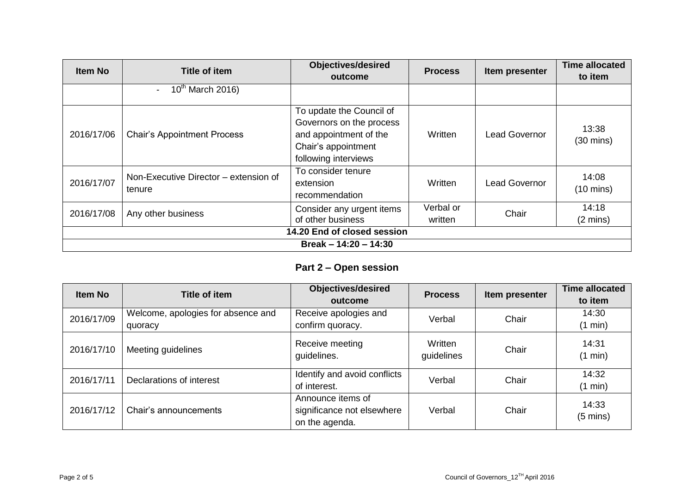| <b>Item No</b>              | <b>Title of item</b>                            | <b>Objectives/desired</b><br>outcome                                                                                          | <b>Process</b>       | Item presenter       | <b>Time allocated</b><br>to item |  |
|-----------------------------|-------------------------------------------------|-------------------------------------------------------------------------------------------------------------------------------|----------------------|----------------------|----------------------------------|--|
|                             | $10th$ March 2016)<br>$\overline{\phantom{a}}$  |                                                                                                                               |                      |                      |                                  |  |
| 2016/17/06                  | <b>Chair's Appointment Process</b>              | To update the Council of<br>Governors on the process<br>and appointment of the<br>Chair's appointment<br>following interviews | Written              | <b>Lead Governor</b> | 13:38<br>$(30 \text{ mins})$     |  |
| 2016/17/07                  | Non-Executive Director – extension of<br>tenure | To consider tenure<br>extension<br>recommendation                                                                             | Written              | <b>Lead Governor</b> | 14:08<br>$(10 \text{ mins})$     |  |
| 2016/17/08                  | Any other business                              | Consider any urgent items<br>of other business                                                                                | Verbal or<br>written | Chair                | 14:18<br>$(2 \text{ mins})$      |  |
| 14.20 End of closed session |                                                 |                                                                                                                               |                      |                      |                                  |  |
| Break - 14:20 - 14:30       |                                                 |                                                                                                                               |                      |                      |                                  |  |

## **Part 2 – Open session**

| Item No    | Title of item                      | <b>Objectives/desired</b>      | <b>Process</b>        | Item presenter | <b>Time allocated</b> |
|------------|------------------------------------|--------------------------------|-----------------------|----------------|-----------------------|
|            |                                    | outcome                        |                       |                | to item               |
| 2016/17/09 | Welcome, apologies for absence and | Receive apologies and          | Verbal                | Chair          | 14:30                 |
|            | quoracy                            | confirm quoracy.               |                       |                | (1 min)               |
| 2016/17/10 | Meeting guidelines                 | Receive meeting<br>guidelines. | Written<br>guidelines | Chair          | 14:31<br>(1 min)      |
| 2016/17/11 | Declarations of interest           | Identify and avoid conflicts   | Verbal                | Chair          | 14:32                 |
|            |                                    | of interest.                   |                       |                | (1 min)               |
|            |                                    | Announce items of              |                       |                | 14:33                 |
| 2016/17/12 | Chair's announcements              | significance not elsewhere     | Verbal                | Chair          | $(5 \text{ mins})$    |
|            |                                    | on the agenda.                 |                       |                |                       |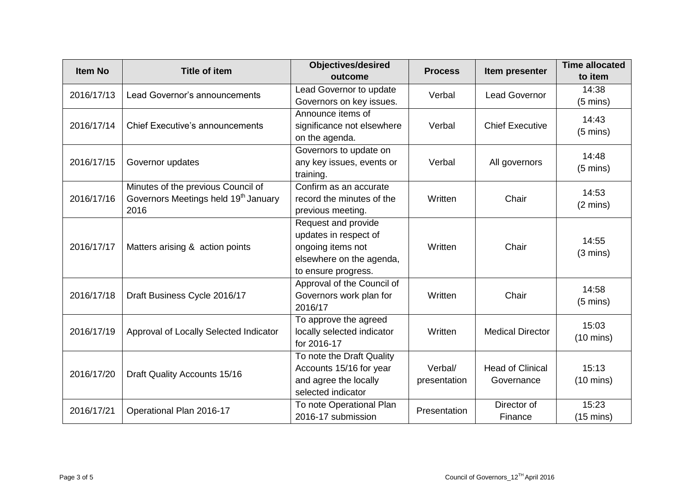| <b>Item No</b> | <b>Title of item</b>                                                                           | <b>Objectives/desired</b><br>outcome                                                                                 | <b>Process</b>          | Item presenter                        | <b>Time allocated</b><br>to item |
|----------------|------------------------------------------------------------------------------------------------|----------------------------------------------------------------------------------------------------------------------|-------------------------|---------------------------------------|----------------------------------|
| 2016/17/13     | Lead Governor's announcements                                                                  | Lead Governor to update<br>Governors on key issues.                                                                  | Verbal                  | <b>Lead Governor</b>                  | 14:38<br>$(5 \text{ mins})$      |
| 2016/17/14     | <b>Chief Executive's announcements</b>                                                         | Announce items of<br>significance not elsewhere<br>on the agenda.                                                    | Verbal                  | <b>Chief Executive</b>                | 14:43<br>$(5 \text{ mins})$      |
| 2016/17/15     | Governor updates                                                                               | Governors to update on<br>any key issues, events or<br>training.                                                     | Verbal                  | All governors                         | 14:48<br>$(5 \text{ mins})$      |
| 2016/17/16     | Minutes of the previous Council of<br>Governors Meetings held 19 <sup>th</sup> January<br>2016 | Confirm as an accurate<br>record the minutes of the<br>previous meeting.                                             | Written                 | Chair                                 | 14:53<br>$(2 \text{ mins})$      |
| 2016/17/17     | Matters arising & action points                                                                | Request and provide<br>updates in respect of<br>ongoing items not<br>elsewhere on the agenda,<br>to ensure progress. | Written                 | Chair                                 | 14:55<br>$(3 \text{ mins})$      |
| 2016/17/18     | Draft Business Cycle 2016/17                                                                   | Approval of the Council of<br>Governors work plan for<br>2016/17                                                     | Written                 | Chair                                 | 14:58<br>$(5 \text{ mins})$      |
| 2016/17/19     | Approval of Locally Selected Indicator                                                         | To approve the agreed<br>locally selected indicator<br>for 2016-17                                                   | Written                 | <b>Medical Director</b>               | 15:03<br>$(10 \text{ mins})$     |
| 2016/17/20     | Draft Quality Accounts 15/16                                                                   | To note the Draft Quality<br>Accounts 15/16 for year<br>and agree the locally<br>selected indicator                  | Verbal/<br>presentation | <b>Head of Clinical</b><br>Governance | 15:13<br>$(10 \text{ mins})$     |
| 2016/17/21     | Operational Plan 2016-17                                                                       | To note Operational Plan<br>2016-17 submission                                                                       | Presentation            | Director of<br>Finance                | 15:23<br>$(15 \text{ mins})$     |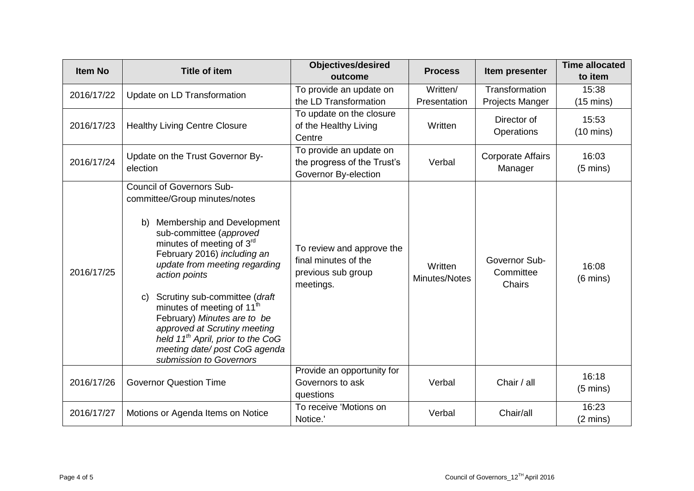| <b>Item No</b> | <b>Title of item</b>                                                                                                                                                                                                                                                                                                                                                                                                                                                                                                       | <b>Objectives/desired</b><br>outcome                                                 | <b>Process</b>           | Item presenter                           | <b>Time allocated</b><br>to item |
|----------------|----------------------------------------------------------------------------------------------------------------------------------------------------------------------------------------------------------------------------------------------------------------------------------------------------------------------------------------------------------------------------------------------------------------------------------------------------------------------------------------------------------------------------|--------------------------------------------------------------------------------------|--------------------------|------------------------------------------|----------------------------------|
| 2016/17/22     | Update on LD Transformation                                                                                                                                                                                                                                                                                                                                                                                                                                                                                                | To provide an update on<br>the LD Transformation                                     | Written/<br>Presentation | Transformation<br><b>Projects Manger</b> | 15:38<br>$(15 \text{ mins})$     |
| 2016/17/23     | <b>Healthy Living Centre Closure</b>                                                                                                                                                                                                                                                                                                                                                                                                                                                                                       | To update on the closure<br>of the Healthy Living<br>Centre                          | Written                  | Director of<br>Operations                | 15:53<br>$(10 \text{ mins})$     |
| 2016/17/24     | Update on the Trust Governor By-<br>election                                                                                                                                                                                                                                                                                                                                                                                                                                                                               | To provide an update on<br>the progress of the Trust's<br>Governor By-election       | Verbal                   | <b>Corporate Affairs</b><br>Manager      | 16:03<br>$(5 \text{ mins})$      |
| 2016/17/25     | <b>Council of Governors Sub-</b><br>committee/Group minutes/notes<br>Membership and Development<br>b)<br>sub-committee (approved<br>minutes of meeting of 3 <sup>rd</sup><br>February 2016) including an<br>update from meeting regarding<br>action points<br>Scrutiny sub-committee (draft<br>$\mathsf{C}$<br>minutes of meeting of 11 <sup>th</sup><br>February) Minutes are to be<br>approved at Scrutiny meeting<br>held $11^{th}$ April, prior to the CoG<br>meeting date/ post CoG agenda<br>submission to Governors | To review and approve the<br>final minutes of the<br>previous sub group<br>meetings. | Written<br>Minutes/Notes | Governor Sub-<br>Committee<br>Chairs     | 16:08<br>$(6 \text{ mins})$      |
| 2016/17/26     | <b>Governor Question Time</b>                                                                                                                                                                                                                                                                                                                                                                                                                                                                                              | Provide an opportunity for<br>Governors to ask<br>questions                          | Verbal                   | Chair / all                              | 16:18<br>$(5 \text{ mins})$      |
| 2016/17/27     | Motions or Agenda Items on Notice                                                                                                                                                                                                                                                                                                                                                                                                                                                                                          | To receive 'Motions on<br>Notice.'                                                   | Verbal                   | Chair/all                                | 16:23<br>$(2 \text{ mins})$      |